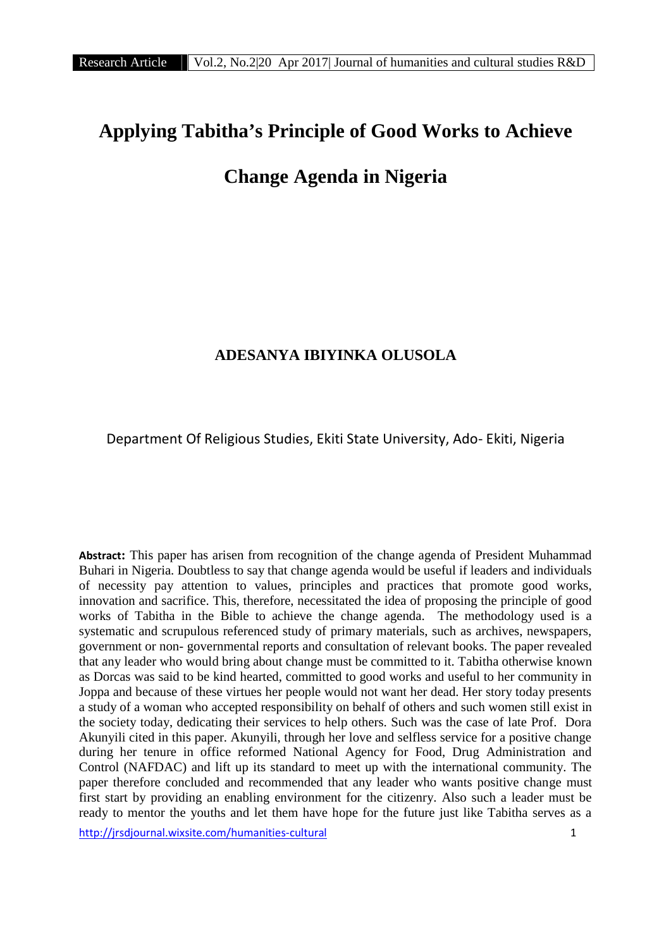# **Applying Tabitha's Principle of Good Works to Achieve**

## **Change Agenda in Nigeria**

## **ADESANYA IBIYINKA OLUSOLA**

Department Of Religious Studies, Ekiti State University, Ado- Ekiti, Nigeria

**Abstract:** This paper has arisen from recognition of the change agenda of President Muhammad Buhari in Nigeria. Doubtless to say that change agenda would be useful if leaders and individuals of necessity pay attention to values, principles and practices that promote good works, innovation and sacrifice. This, therefore, necessitated the idea of proposing the principle of good works of Tabitha in the Bible to achieve the change agenda. The methodology used is a systematic and scrupulous referenced study of primary materials, such as archives, newspapers, government or non- governmental reports and consultation of relevant books. The paper revealed that any leader who would bring about change must be committed to it. Tabitha otherwise known as Dorcas was said to be kind hearted, committed to good works and useful to her community in Joppa and because of these virtues her people would not want her dead. Her story today presents a study of a woman who accepted responsibility on behalf of others and such women still exist in the society today, dedicating their services to help others. Such was the case of late Prof. Dora Akunyili cited in this paper. Akunyili, through her love and selfless service for a positive change during her tenure in office reformed National Agency for Food, Drug Administration and Control (NAFDAC) and lift up its standard to meet up with the international community. The paper therefore concluded and recommended that any leader who wants positive change must first start by providing an enabling environment for the citizenry. Also such a leader must be ready to mentor the youths and let them have hope for the future just like Tabitha serves as a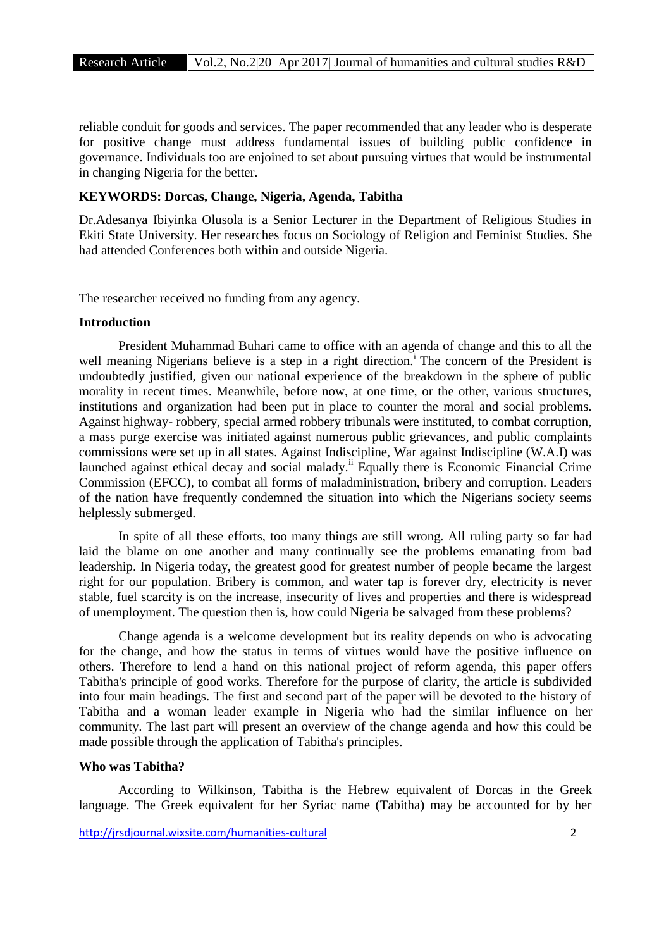reliable conduit for goods and services. The paper recommended that any leader who is desperate for positive change must address fundamental issues of building public confidence in governance. Individuals too are enjoined to set about pursuing virtues that would be instrumental in changing Nigeria for the better.

#### **KEYWORDS: Dorcas, Change, Nigeria, Agenda, Tabitha**

Dr.Adesanya Ibiyinka Olusola is a Senior Lecturer in the Department of Religious Studies in Ekiti State University. Her researches focus on Sociology of Religion and Feminist Studies. She had attended Conferences both within and outside Nigeria.

The researcher received no funding from any agency.

#### **Introduction**

President Muhammad Buhari came to office with an agenda of change and this to all the well meaning Nigerians believe is a step in a right direction.<sup>i</sup> The concern of the President is undoubtedly justified, given our national experience of the breakdown in the sphere of public morality in recent times. Meanwhile, before now, at one time, or the other, various structures, institutions and organization had been put in place to counter the moral and social problems. Against highway- robbery, special armed robbery tribunals were instituted, to combat corruption, a mass purge exercise was initiated against numerous public grievances, and public complaints commissions were set up in all states. Against Indiscipline, War against Indiscipline (W.A.I) was launched against ethical decay and social malady.<sup>ii</sup> Equally there is Economic Financial Crime Commission (EFCC), to combat all forms of maladministration, bribery and corruption. Leaders of the nation have frequently condemned the situation into which the Nigerians society seems helplessly submerged.

In spite of all these efforts, too many things are still wrong. All ruling party so far had laid the blame on one another and many continually see the problems emanating from bad leadership. In Nigeria today, the greatest good for greatest number of people became the largest right for our population. Bribery is common, and water tap is forever dry, electricity is never stable, fuel scarcity is on the increase, insecurity of lives and properties and there is widespread of unemployment. The question then is, how could Nigeria be salvaged from these problems?

Change agenda is a welcome development but its reality depends on who is advocating for the change, and how the status in terms of virtues would have the positive influence on others. Therefore to lend a hand on this national project of reform agenda, this paper offers Tabitha's principle of good works. Therefore for the purpose of clarity, the article is subdivided into four main headings. The first and second part of the paper will be devoted to the history of Tabitha and a woman leader example in Nigeria who had the similar influence on her community. The last part will present an overview of the change agenda and how this could be made possible through the application of Tabitha's principles.

#### **Who was Tabitha?**

According to Wilkinson, Tabitha is the Hebrew equivalent of Dorcas in the Greek language. The Greek equivalent for her Syriac name (Tabitha) may be accounted for by her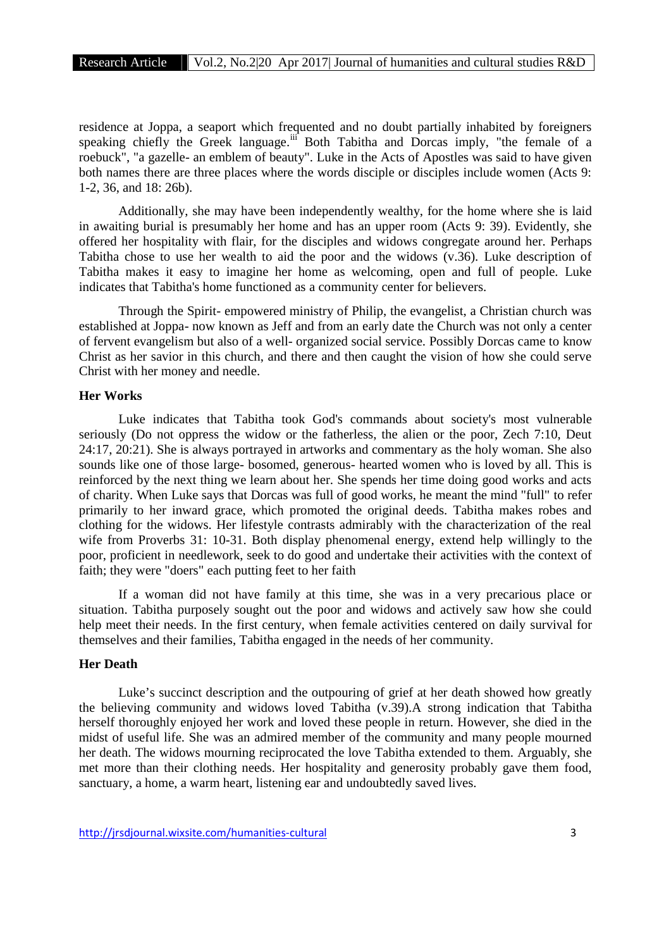residence at Joppa, a seaport which frequented and no doubt partially inhabited by foreigners speaking chiefly the Greek language.<sup>iii</sup> Both Tabitha and Dorcas imply, "the female of a roebuck", "a gazelle- an emblem of beauty". Luke in the Acts of Apostles was said to have given both names there are three places where the words disciple or disciples include women (Acts 9: 1-2, 36, and 18: 26b).

Additionally, she may have been independently wealthy, for the home where she is laid in awaiting burial is presumably her home and has an upper room (Acts 9: 39). Evidently, she offered her hospitality with flair, for the disciples and widows congregate around her. Perhaps Tabitha chose to use her wealth to aid the poor and the widows (v.36). Luke description of Tabitha makes it easy to imagine her home as welcoming, open and full of people. Luke indicates that Tabitha's home functioned as a community center for believers.

Through the Spirit- empowered ministry of Philip, the evangelist, a Christian church was established at Joppa- now known as Jeff and from an early date the Church was not only a center of fervent evangelism but also of a well- organized social service. Possibly Dorcas came to know Christ as her savior in this church, and there and then caught the vision of how she could serve Christ with her money and needle.

#### **Her Works**

Luke indicates that Tabitha took God's commands about society's most vulnerable seriously (Do not oppress the widow or the fatherless, the alien or the poor, Zech 7:10, Deut 24:17, 20:21). She is always portrayed in artworks and commentary as the holy woman. She also sounds like one of those large- bosomed, generous- hearted women who is loved by all. This is reinforced by the next thing we learn about her. She spends her time doing good works and acts of charity. When Luke says that Dorcas was full of good works, he meant the mind "full" to refer primarily to her inward grace, which promoted the original deeds. Tabitha makes robes and clothing for the widows. Her lifestyle contrasts admirably with the characterization of the real wife from Proverbs 31: 10-31. Both display phenomenal energy, extend help willingly to the poor, proficient in needlework, seek to do good and undertake their activities with the context of faith; they were "doers" each putting feet to her faith

If a woman did not have family at this time, she was in a very precarious place or situation. Tabitha purposely sought out the poor and widows and actively saw how she could help meet their needs. In the first century, when female activities centered on daily survival for themselves and their families, Tabitha engaged in the needs of her community.

#### **Her Death**

Luke's succinct description and the outpouring of grief at her death showed how greatly the believing community and widows loved Tabitha (v.39).A strong indication that Tabitha herself thoroughly enjoyed her work and loved these people in return. However, she died in the midst of useful life. She was an admired member of the community and many people mourned her death. The widows mourning reciprocated the love Tabitha extended to them. Arguably, she met more than their clothing needs. Her hospitality and generosity probably gave them food, sanctuary, a home, a warm heart, listening ear and undoubtedly saved lives.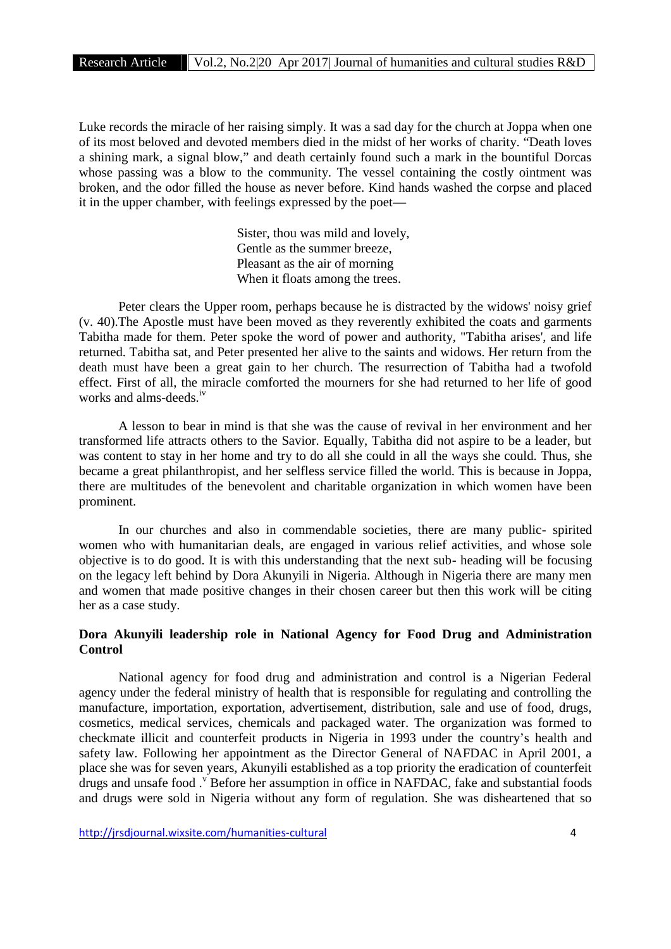Luke records the miracle of her raising simply. It was a sad day for the church at Joppa when one of its most beloved and devoted members died in the midst of her works of charity. "Death loves a shining mark, a signal blow," and death certainly found such a mark in the bountiful Dorcas whose passing was a blow to the community. The vessel containing the costly ointment was broken, and the odor filled the house as never before. Kind hands washed the corpse and placed it in the upper chamber, with feelings expressed by the poet—

> Sister, thou was mild and lovely, Gentle as the summer breeze, Pleasant as the air of morning When it floats among the trees.

Peter clears the Upper room, perhaps because he is distracted by the widows' noisy grief (v. 40).The Apostle must have been moved as they reverently exhibited the coats and garments Tabitha made for them. Peter spoke the word of power and authority, "Tabitha arises', and life returned. Tabitha sat, and Peter presented her alive to the saints and widows. Her return from the death must have been a great gain to her church. The resurrection of Tabitha had a twofold effect. First of all, the miracle comforted the mourners for she had returned to her life of good works and alms-deeds.<sup>iv</sup>

A lesson to bear in mind is that she was the cause of revival in her environment and her transformed life attracts others to the Savior. Equally, Tabitha did not aspire to be a leader, but was content to stay in her home and try to do all she could in all the ways she could. Thus, she became a great philanthropist, and her selfless service filled the world. This is because in Joppa, there are multitudes of the benevolent and charitable organization in which women have been prominent.

In our churches and also in commendable societies, there are many public- spirited women who with humanitarian deals, are engaged in various relief activities, and whose sole objective is to do good. It is with this understanding that the next sub- heading will be focusing on the legacy left behind by Dora Akunyili in Nigeria. Although in Nigeria there are many men and women that made positive changes in their chosen career but then this work will be citing her as a case study.

#### **Dora Akunyili leadership role in National Agency for Food Drug and Administration Control**

National agency for food drug and administration and control is a Nigerian Federal agency under the federal ministry of health that is responsible for regulating and controlling the manufacture, importation, exportation, advertisement, distribution, sale and use of food, drugs, cosmetics, medical services, chemicals and packaged water. The organization was formed to checkmate illicit and counterfeit products in Nigeria in 1993 under the country's health and safety law. Following her appointment as the Director General of NAFDAC in April 2001, a place she was for seven years, Akunyili established as a top priority the eradication of counterfeit drugs and unsafe food .<sup>v</sup> Before her assumption in office in NAFDAC, fake and substantial foods and drugs were sold in Nigeria without any form of regulation. She was disheartened that so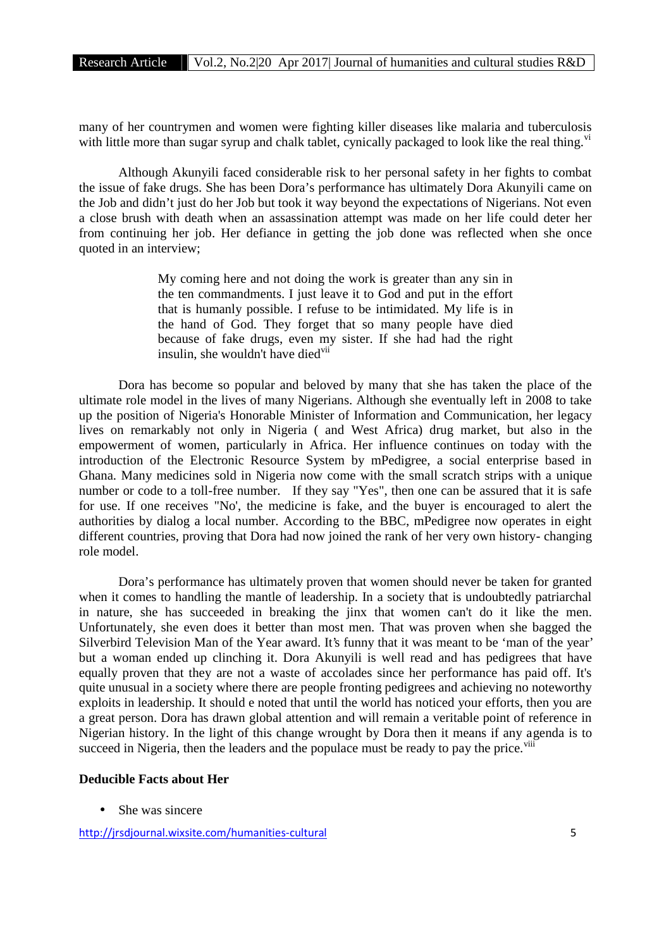many of her countrymen and women were fighting killer diseases like malaria and tuberculosis with little more than sugar syrup and chalk tablet, cynically packaged to look like the real thing.<sup>vi</sup>

Although Akunyili faced considerable risk to her personal safety in her fights to combat the issue of fake drugs. She has been Dora's performance has ultimately Dora Akunyili came on the Job and didn't just do her Job but took it way beyond the expectations of Nigerians. Not even a close brush with death when an assassination attempt was made on her life could deter her from continuing her job. Her defiance in getting the job done was reflected when she once quoted in an interview;

> My coming here and not doing the work is greater than any sin in the ten commandments. I just leave it to God and put in the effort that is humanly possible. I refuse to be intimidated. My life is in the hand of God. They forget that so many people have died because of fake drugs, even my sister. If she had had the right insulin, she wouldn't have died<sup>vii</sup>

Dora has become so popular and beloved by many that she has taken the place of the ultimate role model in the lives of many Nigerians. Although she eventually left in 2008 to take up the position of Nigeria's Honorable Minister of Information and Communication, her legacy lives on remarkably not only in Nigeria ( and West Africa) drug market, but also in the empowerment of women, particularly in Africa. Her influence continues on today with the introduction of the Electronic Resource System by mPedigree, a social enterprise based in Ghana. Many medicines sold in Nigeria now come with the small scratch strips with a unique number or code to a toll-free number. If they say "Yes", then one can be assured that it is safe for use. If one receives "No', the medicine is fake, and the buyer is encouraged to alert the authorities by dialog a local number. According to the BBC, mPedigree now operates in eight different countries, proving that Dora had now joined the rank of her very own history- changing role model.

Dora's performance has ultimately proven that women should never be taken for granted when it comes to handling the mantle of leadership. In a society that is undoubtedly patriarchal in nature, she has succeeded in breaking the jinx that women can't do it like the men. Unfortunately, she even does it better than most men. That was proven when she bagged the Silverbird Television Man of the Year award. It's funny that it was meant to be 'man of the year' but a woman ended up clinching it. Dora Akunyili is well read and has pedigrees that have equally proven that they are not a waste of accolades since her performance has paid off. It's quite unusual in a society where there are people fronting pedigrees and achieving no noteworthy exploits in leadership. It should e noted that until the world has noticed your efforts, then you are a great person. Dora has drawn global attention and will remain a veritable point of reference in Nigerian history. In the light of this change wrought by Dora then it means if any agenda is to succeed in Nigeria, then the leaders and the populace must be ready to pay the price.<sup>viii</sup>

#### **Deducible Facts about Her**

She was sincere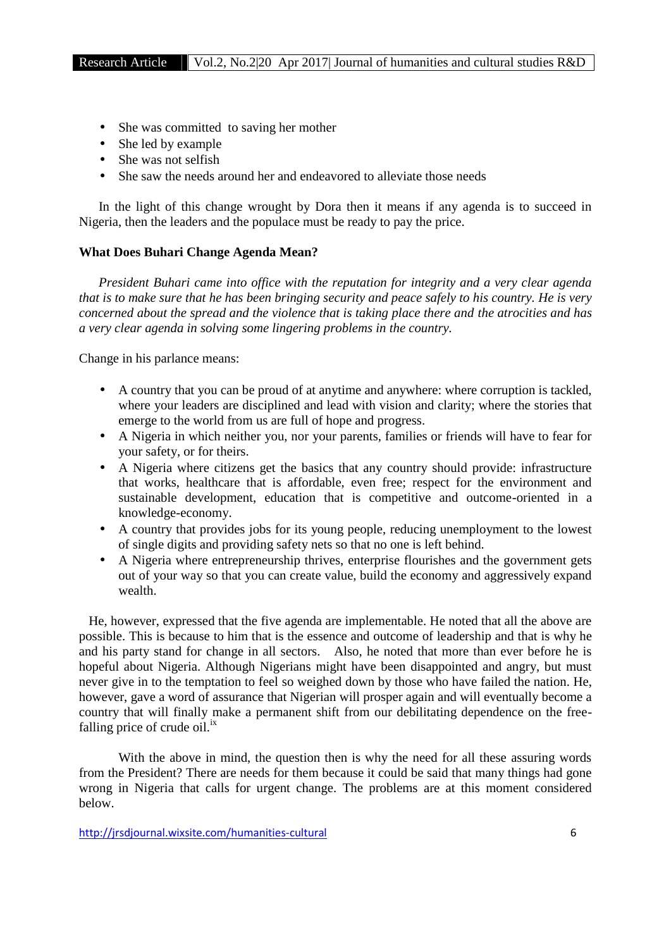- She was committed to saving her mother
- She led by example
- She was not selfish
- She saw the needs around her and endeavored to alleviate those needs

In the light of this change wrought by Dora then it means if any agenda is to succeed in Nigeria, then the leaders and the populace must be ready to pay the price.

#### **What Does Buhari Change Agenda Mean?**

*President Buhari came into office with the reputation for integrity and a very clear agenda that is to make sure that he has been bringing security and peace safely to his country. He is very concerned about the spread and the violence that is taking place there and the atrocities and has a very clear agenda in solving some lingering problems in the country.*

Change in his parlance means:

- A country that you can be proud of at anytime and anywhere: where corruption is tackled, where your leaders are disciplined and lead with vision and clarity; where the stories that emerge to the world from us are full of hope and progress.
- A Nigeria in which neither you, nor your parents, families or friends will have to fear for your safety, or for theirs.
- A Nigeria where citizens get the basics that any country should provide: infrastructure that works, healthcare that is affordable, even free; respect for the environment and sustainable development, education that is competitive and outcome-oriented in a knowledge-economy.
- A country that provides jobs for its young people, reducing unemployment to the lowest of single digits and providing safety nets so that no one is left behind.
- A Nigeria where entrepreneurship thrives, enterprise flourishes and the government gets out of your way so that you can create value, build the economy and aggressively expand wealth.

He, however, expressed that the five agenda are implementable. He noted that all the above are possible. This is because to him that is the essence and outcome of leadership and that is why he and his party stand for change in all sectors. Also, he noted that more than ever before he is hopeful about Nigeria. Although Nigerians might have been disappointed and angry, but must never give in to the temptation to feel so weighed down by those who have failed the nation. He, however, gave a word of assurance that Nigerian will prosper again and will eventually become a country that will finally make a permanent shift from our debilitating dependence on the freefalling price of crude oil. $^{ix}$ 

With the above in mind, the question then is why the need for all these assuring words from the President? There are needs for them because it could be said that many things had gone wrong in Nigeria that calls for urgent change. The problems are at this moment considered below.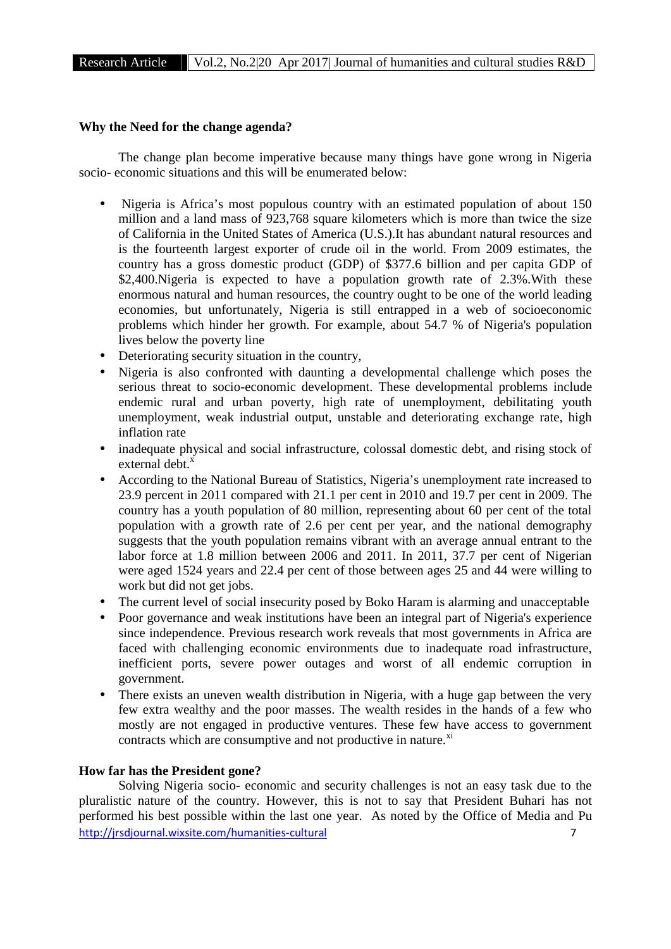#### **Why the Need for the change agenda?**

The change plan become imperative because many things have gone wrong in Nigeria socio- economic situations and this will be enumerated below:

- Nigeria is Africa's most populous country with an estimated population of about 150 million and a land mass of 923,768 square kilometers which is more than twice the size of California in the United States of America (U.S.).It has abundant natural resources and is the fourteenth largest exporter of crude oil in the world. From 2009 estimates, the country has a gross domestic product (GDP) of \$377.6 billion and per capita GDP of \$2,400.Nigeria is expected to have a population growth rate of 2.3%.With these enormous natural and human resources, the country ought to be one of the world leading economies, but unfortunately, Nigeria is still entrapped in a web of socioeconomic problems which hinder her growth. For example, about 54.7 % of Nigeria's population lives below the poverty line
- Deteriorating security situation in the country,
- Nigeria is also confronted with daunting a developmental challenge which poses the serious threat to socio-economic development. These developmental problems include endemic rural and urban poverty, high rate of unemployment, debilitating youth unemployment, weak industrial output, unstable and deteriorating exchange rate, high inflation rate
- inadequate physical and social infrastructure, colossal domestic debt, and rising stock of external debt. $\frac{x}{x}$
- According to the National Bureau of Statistics, Nigeria's unemployment rate increased to 23.9 percent in 2011 compared with 21.1 per cent in 2010 and 19.7 per cent in 2009. The country has a youth population of 80 million, representing about 60 per cent of the total population with a growth rate of 2.6 per cent per year, and the national demography suggests that the youth population remains vibrant with an average annual entrant to the labor force at 1.8 million between 2006 and 2011. In 2011, 37.7 per cent of Nigerian were aged 1524 years and 22.4 per cent of those between ages 25 and 44 were willing to work but did not get jobs.
- The current level of social insecurity posed by Boko Haram is alarming and unacceptable
- Poor governance and weak institutions have been an integral part of Nigeria's experience since independence. Previous research work reveals that most governments in Africa are faced with challenging economic environments due to inadequate road infrastructure, inefficient ports, severe power outages and worst of all endemic corruption in government.
- There exists an uneven wealth distribution in Nigeria, with a huge gap between the very few extra wealthy and the poor masses. The wealth resides in the hands of a few who mostly are not engaged in productive ventures. These few have access to government contracts which are consumptive and not productive in nature.<sup>xi</sup>

#### **How far has the President gone?**

http://irsdiournal.wixsite.com/humanities-cultural 7 Solving Nigeria socio- economic and security challenges is not an easy task due to the pluralistic nature of the country. However, this is not to say that President Buhari has not performed his best possible within the last one year. As noted by the Office of Media and Pu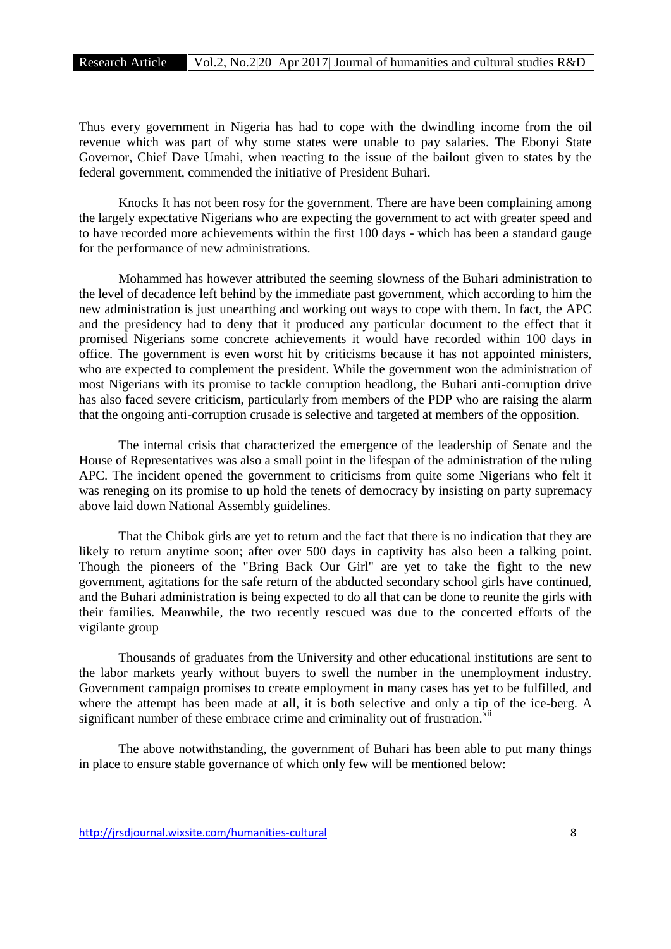Thus every government in Nigeria has had to cope with the dwindling income from the oil revenue which was part of why some states were unable to pay salaries. The Ebonyi State Governor, Chief Dave Umahi, when reacting to the issue of the bailout given to states by the federal government, commended the initiative of President Buhari.

Knocks It has not been rosy for the government. There are have been complaining among the largely expectative Nigerians who are expecting the government to act with greater speed and to have recorded more achievements within the first 100 days - which has been a standard gauge for the performance of new administrations.

Mohammed has however attributed the seeming slowness of the Buhari administration to the level of decadence left behind by the immediate past government, which according to him the new administration is just unearthing and working out ways to cope with them. In fact, the APC and the presidency had to deny that it produced any particular document to the effect that it promised Nigerians some concrete achievements it would have recorded within 100 days in office. The government is even worst hit by criticisms because it has not appointed ministers, who are expected to complement the president. While the government won the administration of most Nigerians with its promise to tackle corruption headlong, the Buhari anti-corruption drive has also faced severe criticism, particularly from members of the PDP who are raising the alarm that the ongoing anti-corruption crusade is selective and targeted at members of the opposition.

The internal crisis that characterized the emergence of the leadership of Senate and the House of Representatives was also a small point in the lifespan of the administration of the ruling APC. The incident opened the government to criticisms from quite some Nigerians who felt it was reneging on its promise to up hold the tenets of democracy by insisting on party supremacy above laid down National Assembly guidelines.

That the Chibok girls are yet to return and the fact that there is no indication that they are likely to return anytime soon; after over 500 days in captivity has also been a talking point. Though the pioneers of the "Bring Back Our Girl" are yet to take the fight to the new government, agitations for the safe return of the abducted secondary school girls have continued, and the Buhari administration is being expected to do all that can be done to reunite the girls with their families. Meanwhile, the two recently rescued was due to the concerted efforts of the vigilante group

Thousands of graduates from the University and other educational institutions are sent to the labor markets yearly without buyers to swell the number in the unemployment industry. Government campaign promises to create employment in many cases has yet to be fulfilled, and where the attempt has been made at all, it is both selective and only a tip of the ice-berg. A significant number of these embrace crime and criminality out of frustration.<sup>xii</sup>

The above notwithstanding, the government of Buhari has been able to put many things in place to ensure stable governance of which only few will be mentioned below: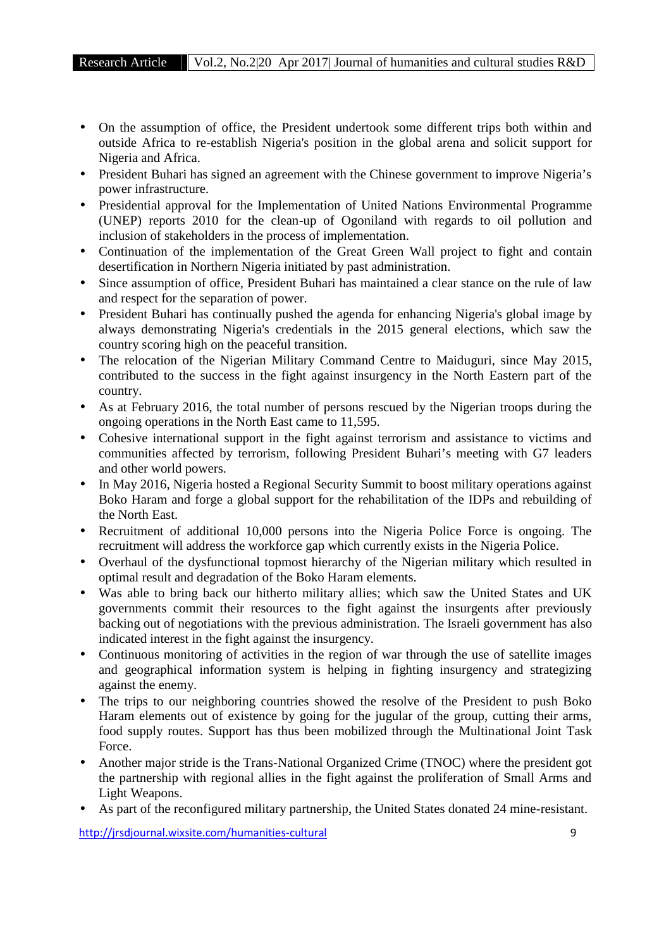- On the assumption of office, the President undertook some different trips both within and outside Africa to re-establish Nigeria's position in the global arena and solicit support for Nigeria and Africa.
- President Buhari has signed an agreement with the Chinese government to improve Nigeria's power infrastructure.
- Presidential approval for the Implementation of United Nations Environmental Programme (UNEP) reports 2010 for the clean-up of Ogoniland with regards to oil pollution and inclusion of stakeholders in the process of implementation.
- Continuation of the implementation of the Great Green Wall project to fight and contain desertification in Northern Nigeria initiated by past administration.
- Since assumption of office, President Buhari has maintained a clear stance on the rule of law and respect for the separation of power.
- President Buhari has continually pushed the agenda for enhancing Nigeria's global image by always demonstrating Nigeria's credentials in the 2015 general elections, which saw the country scoring high on the peaceful transition.
- The relocation of the Nigerian Military Command Centre to Maiduguri, since May 2015, contributed to the success in the fight against insurgency in the North Eastern part of the country.
- As at February 2016, the total number of persons rescued by the Nigerian troops during the ongoing operations in the North East came to 11,595.
- Cohesive international support in the fight against terrorism and assistance to victims and communities affected by terrorism, following President Buhari's meeting with G7 leaders and other world powers.
- In May 2016, Nigeria hosted a Regional Security Summit to boost military operations against Boko Haram and forge a global support for the rehabilitation of the IDPs and rebuilding of the North East.
- Recruitment of additional 10,000 persons into the Nigeria Police Force is ongoing. The recruitment will address the workforce gap which currently exists in the Nigeria Police.
- Overhaul of the dysfunctional topmost hierarchy of the Nigerian military which resulted in optimal result and degradation of the Boko Haram elements.
- Was able to bring back our hitherto military allies; which saw the United States and UK governments commit their resources to the fight against the insurgents after previously backing out of negotiations with the previous administration. The Israeli government has also indicated interest in the fight against the insurgency.
- Continuous monitoring of activities in the region of war through the use of satellite images and geographical information system is helping in fighting insurgency and strategizing against the enemy.
- The trips to our neighboring countries showed the resolve of the President to push Boko Haram elements out of existence by going for the jugular of the group, cutting their arms, food supply routes. Support has thus been mobilized through the Multinational Joint Task Force.
- Another major stride is the Trans-National Organized Crime (TNOC) where the president got the partnership with regional allies in the fight against the proliferation of Small Arms and Light Weapons.
- As part of the reconfigured military partnership, the United States donated 24 mine-resistant.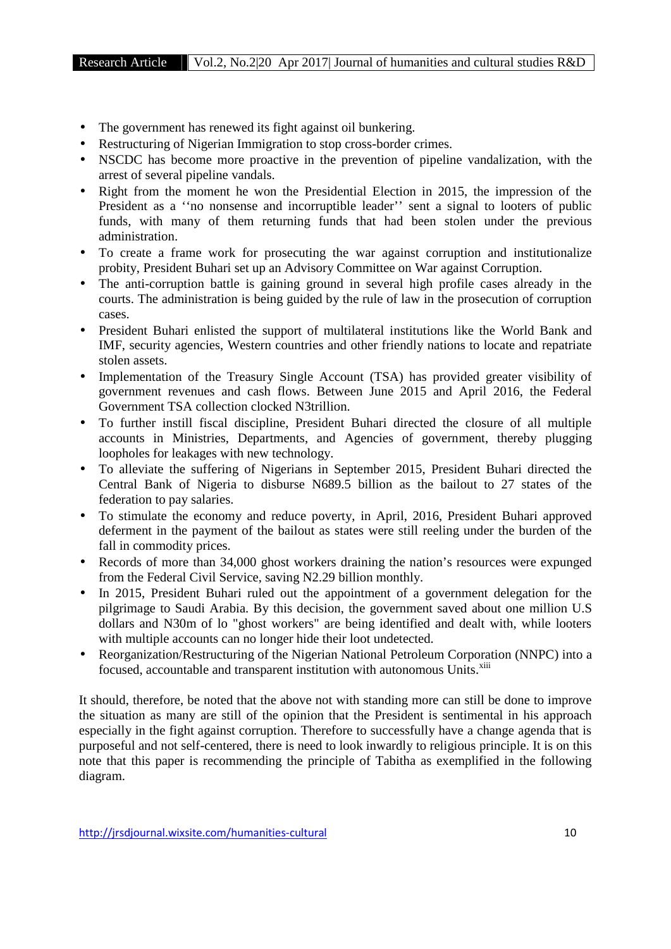- The government has renewed its fight against oil bunkering.
- Restructuring of Nigerian Immigration to stop cross-border crimes.
- NSCDC has become more proactive in the prevention of pipeline vandalization, with the arrest of several pipeline vandals.
- Right from the moment he won the Presidential Election in 2015, the impression of the President as a ''no nonsense and incorruptible leader'' sent a signal to looters of public funds, with many of them returning funds that had been stolen under the previous administration.
- To create a frame work for prosecuting the war against corruption and institutionalize probity, President Buhari set up an Advisory Committee on War against Corruption.
- The anti-corruption battle is gaining ground in several high profile cases already in the courts. The administration is being guided by the rule of law in the prosecution of corruption cases.
- President Buhari enlisted the support of multilateral institutions like the World Bank and IMF, security agencies, Western countries and other friendly nations to locate and repatriate stolen assets.
- Implementation of the Treasury Single Account (TSA) has provided greater visibility of government revenues and cash flows. Between June 2015 and April 2016, the Federal Government TSA collection clocked N3trillion.
- To further instill fiscal discipline, President Buhari directed the closure of all multiple accounts in Ministries, Departments, and Agencies of government, thereby plugging loopholes for leakages with new technology.
- To alleviate the suffering of Nigerians in September 2015, President Buhari directed the Central Bank of Nigeria to disburse N689.5 billion as the bailout to 27 states of the federation to pay salaries.
- To stimulate the economy and reduce poverty, in April, 2016, President Buhari approved deferment in the payment of the bailout as states were still reeling under the burden of the fall in commodity prices.
- Records of more than 34,000 ghost workers draining the nation's resources were expunged from the Federal Civil Service, saving N2.29 billion monthly.
- In 2015, President Buhari ruled out the appointment of a government delegation for the pilgrimage to Saudi Arabia. By this decision, the government saved about one million U.S dollars and N30m of lo "ghost workers" are being identified and dealt with, while looters with multiple accounts can no longer hide their loot undetected.
- Reorganization/Restructuring of the Nigerian National Petroleum Corporation (NNPC) into a focused, accountable and transparent institution with autonomous Units.<sup>xiii</sup>

It should, therefore, be noted that the above not with standing more can still be done to improve the situation as many are still of the opinion that the President is sentimental in his approach especially in the fight against corruption. Therefore to successfully have a change agenda that is purposeful and not self-centered, there is need to look inwardly to religious principle. It is on this note that this paper is recommending the principle of Tabitha as exemplified in the following diagram.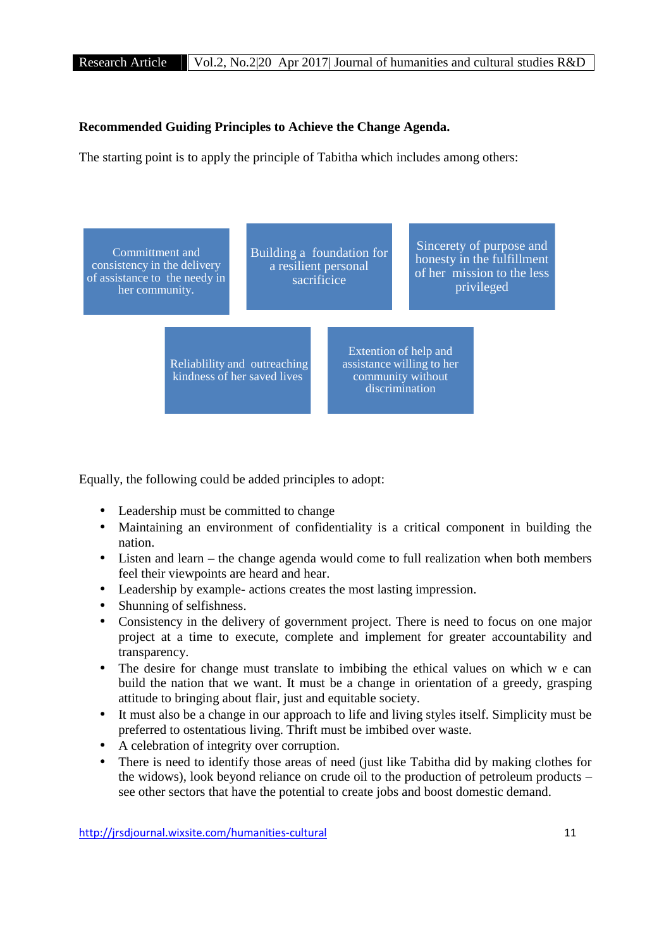### **Recommended Guiding Principles to Achieve the Change Agenda.**

The starting point is to apply the principle of Tabitha which includes among others:



Equally, the following could be added principles to adopt:

- Leadership must be committed to change
- Maintaining an environment of confidentiality is a critical component in building the nation.
- Listen and learn the change agenda would come to full realization when both members feel their viewpoints are heard and hear.
- Leadership by example- actions creates the most lasting impression.
- Shunning of selfishness.
- Consistency in the delivery of government project. There is need to focus on one major project at a time to execute, complete and implement for greater accountability and transparency.
- The desire for change must translate to imbibing the ethical values on which w e can build the nation that we want. It must be a change in orientation of a greedy, grasping attitude to bringing about flair, just and equitable society.
- It must also be a change in our approach to life and living styles itself. Simplicity must be preferred to ostentatious living. Thrift must be imbibed over waste.
- A celebration of integrity over corruption.
- There is need to identify those areas of need (just like Tabitha did by making clothes for the widows), look beyond reliance on crude oil to the production of petroleum products – see other sectors that have the potential to create jobs and boost domestic demand.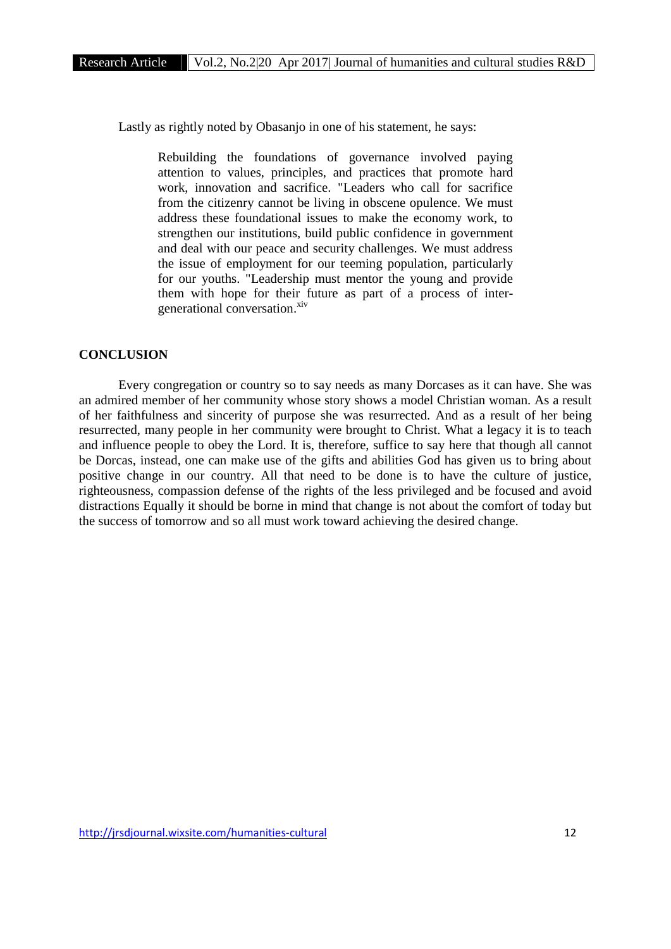Lastly as rightly noted by Obasanjo in one of his statement, he says:

Rebuilding the foundations of governance involved paying attention to values, principles, and practices that promote hard work, innovation and sacrifice. "Leaders who call for sacrifice from the citizenry cannot be living in obscene opulence. We must address these foundational issues to make the economy work, to strengthen our institutions, build public confidence in government and deal with our peace and security challenges. We must address the issue of employment for our teeming population, particularly for our youths. "Leadership must mentor the young and provide them with hope for their future as part of a process of inter generational conversation.<sup>xiv</sup>

#### **CONCLUSION**

Every congregation or country so to say needs as many Dorcases as it can have. She was an admired member of her community whose story shows a model Christian woman. As a result of her faithfulness and sincerity of purpose she was resurrected. And as a result of her being resurrected, many people in her community were brought to Christ. What a legacy it is to teach and influence people to obey the Lord. It is, therefore, suffice to say here that though all cannot be Dorcas, instead, one can make use of the gifts and abilities God has given us to bring about positive change in our country. All that need to be done is to have the culture of justice, righteousness, compassion defense of the rights of the less privileged and be focused and avoid distractions Equally it should be borne in mind that change is not about the comfort of today but the success of tomorrow and so all must work toward achieving the desired change.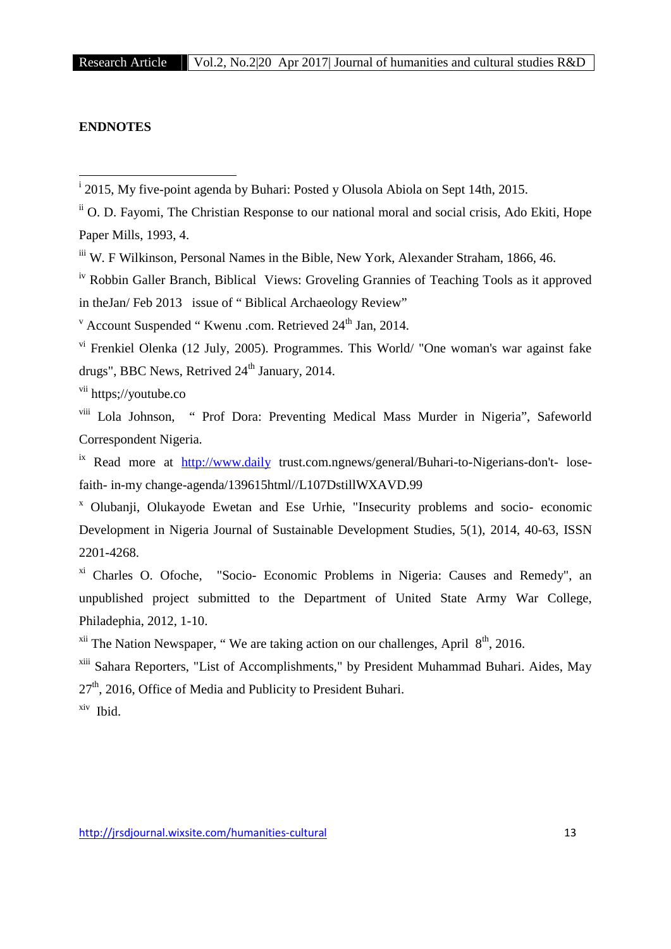#### **ENDNOTES**

iv Robbin Galler Branch, Biblical Views: Groveling Grannies of Teaching Tools as it approved in theJan/ Feb 2013 issue of " Biblical Archaeology Review"

 $v$  Account Suspended " Kwenu .com. Retrieved  $24<sup>th</sup>$  Jan, 2014.

vi Frenkiel Olenka (12 July, 2005). Programmes. This World/ "One woman's war against fake drugs", BBC News, Retrived  $24<sup>th</sup>$  January, 2014.

vii https://voutube.co

viii Lola Johnson, " Prof Dora: Preventing Medical Mass Murder in Nigeria", Safeworld Correspondent Nigeria.

<sup>ix</sup> Read more at http://www.daily trust.com.ngnews/general/Buhari-to-Nigerians-don't- losefaith- in-my change-agenda/139615html//L107DstillWXAVD.99

<sup>x</sup> Olubanji, Olukayode Ewetan and Ese Urhie, "Insecurity problems and socio- economic Development in Nigeria Journal of Sustainable Development Studies, 5(1), 2014, 40-63, ISSN 2201-4268.

xi Charles O. Ofoche, "Socio- Economic Problems in Nigeria: Causes and Remedy", an unpublished project submitted to the Department of United State Army War College, Philadephia, 2012, 1-10.

 $xii$  The Nation Newspaper, "We are taking action on our challenges, April  $8<sup>th</sup>$ , 2016.

xiii Sahara Reporters, "List of Accomplishments," by President Muhammad Buhari. Aides, May  $27<sup>th</sup>$ , 2016, Office of Media and Publicity to President Buhari.

xiv Ibid.

<sup>i</sup> 2015, My five-point agenda by Buhari: Posted y Olusola Abiola on Sept 14th, 2015.

<sup>&</sup>lt;sup>ii</sup> O. D. Favomi, The Christian Response to our national moral and social crisis, Ado Ekiti, Hope Paper Mills, 1993, 4.

iii W. F Wilkinson, Personal Names in the Bible, New York, Alexander Straham, 1866, 46.